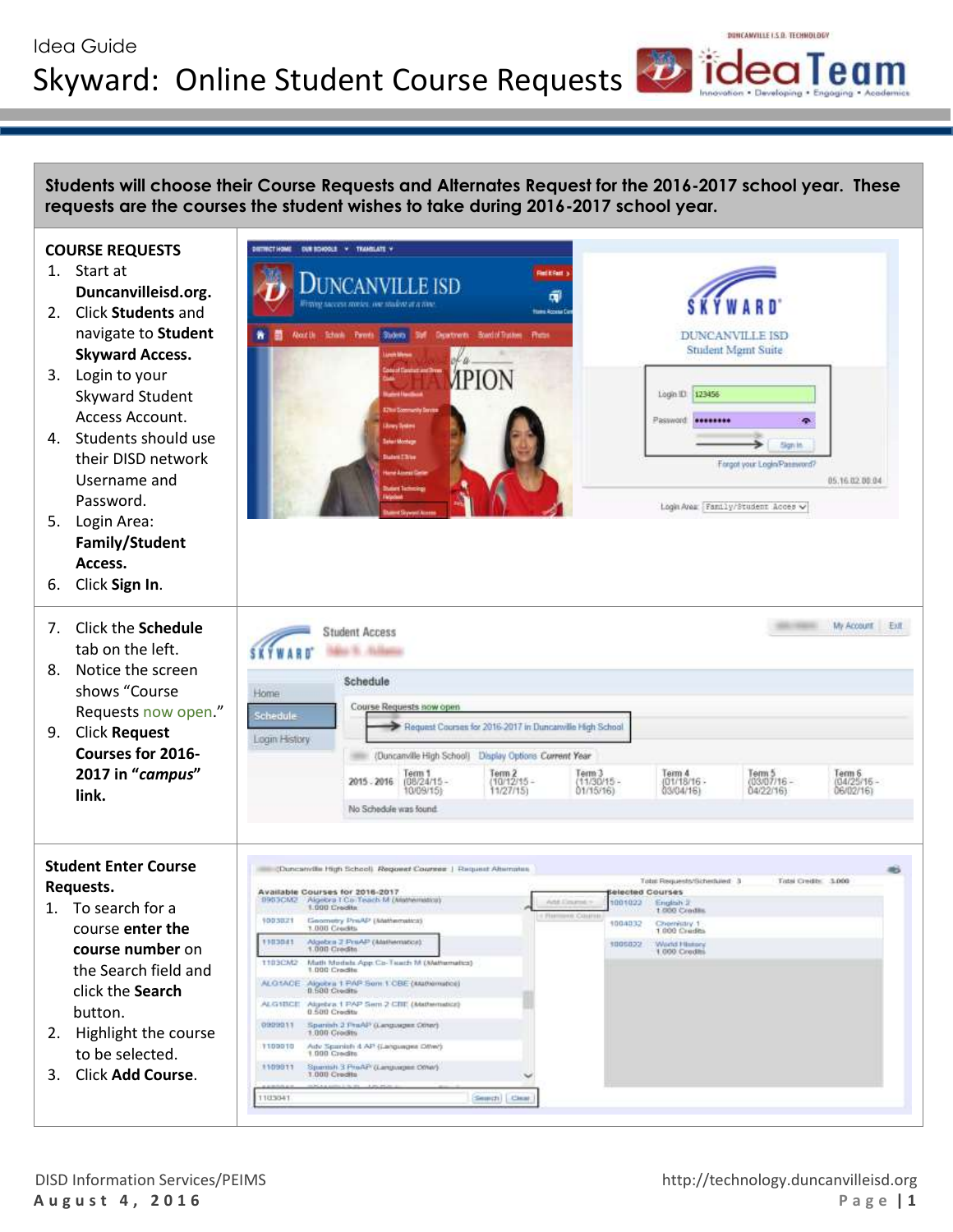# Idea Guide Skyward: Online Student Course Requests **DideaTeam**

**DURBOACH V** 

ALG1BCE Algebra 1 PAP Sem 2 CBE (Matte 0909011 Sperish 2 PraAP (Languages Ofter) Adv Spanish & AP (Languages Dite)

Spanish 3 ProAP (Languages On

Search | Clear

1100010

1109011

1103041

**Students will choose their Course Requests and Alternates Request for the 2016-2017 school year. These requests are the courses the student wishes to take during 2016-2017 school year.** 

#### **COURSE REQUESTS**

- 1. Start at **Duncanvilleisd.org.**
- 2. Click **Students** and navigate to **Student Skyward Access.**
- 3. Login to your Skyward Student Access Account.
- 4. Students should use their DISD network Username and Password.
- 5. Login Area: **Family/Student Access.**
- 6. Click **Sign In**.
- 7. Click the **Schedule** tab on the left. 8. Notice the screen
- shows "Course Requests now open."
- 9. Click **Request Courses for 2016- 2017 in "***campus***" link.**

### **Student Enter Course Requests.**

- 1. To search for a course **enter the course number** on the Search field and click the **Search** button.
- 2. Highlight the course to be selected.
- 3. Click **Add Course**.



DONCANVILLE LS D. TECHNOLOGY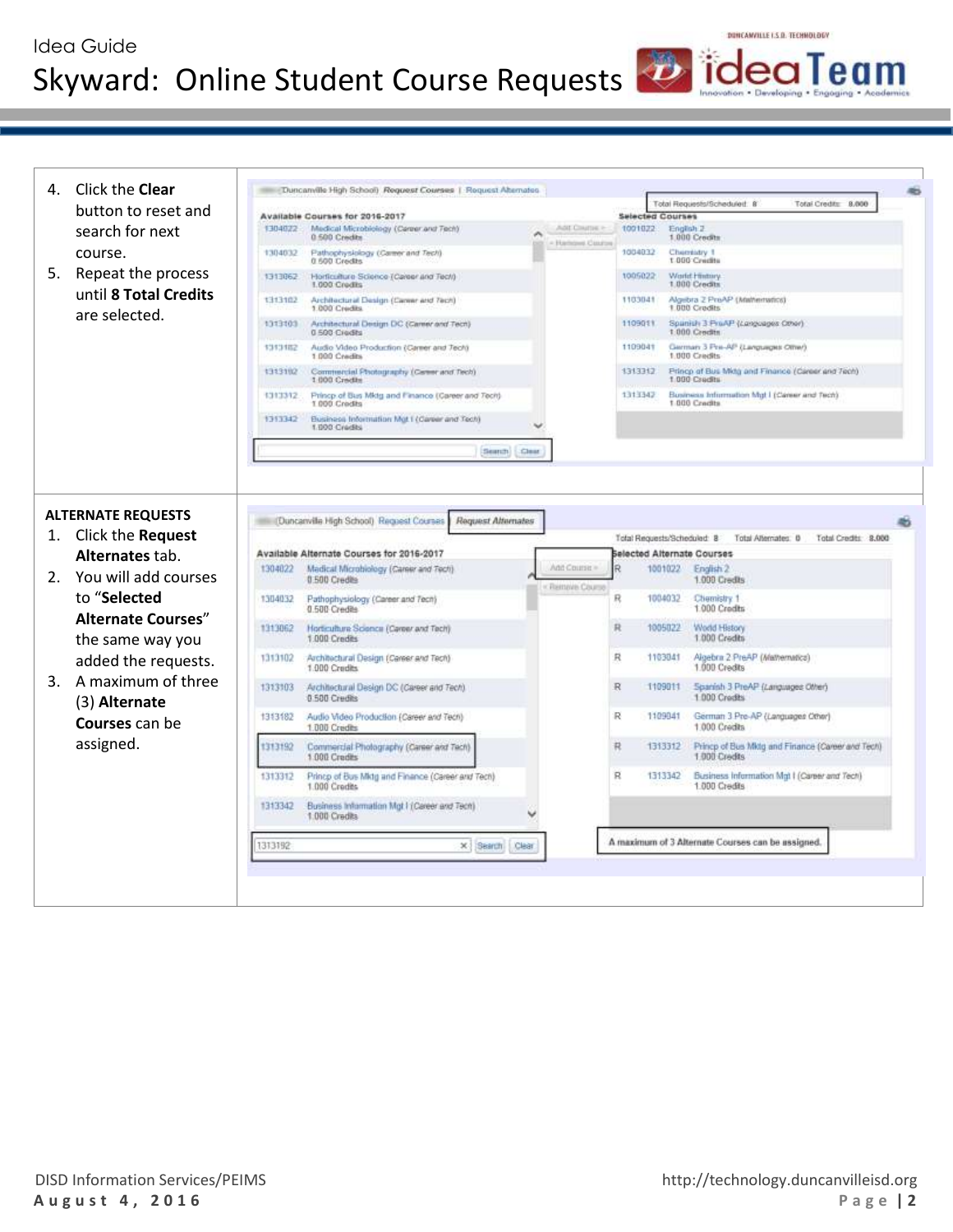## Idea Guide Skyward: Online Student Course Requests **DideaTeam**



DONCANVILLE LS D. TECHNOLOGY